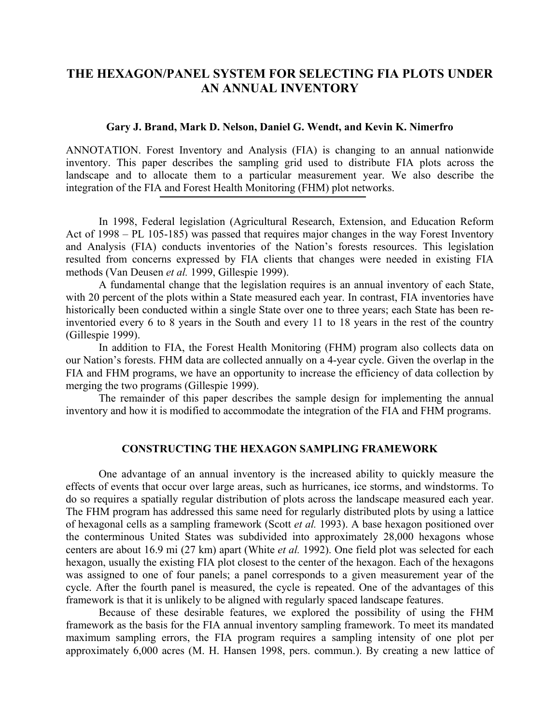# **THE HEXAGON/PANEL SYSTEM FOR SELECTING FIA PLOTS UNDER AN ANNUAL INVENTORY**

### **Gary J. Brand, Mark D. Nelson, Daniel G. Wendt, and Kevin K. Nimerfro**

ANNOTATION. Forest Inventory and Analysis (FIA) is changing to an annual nationwide inventory. This paper describes the sampling grid used to distribute FIA plots across the landscape and to allocate them to a particular measurement year. We also describe the integration of the FIA and Forest Health Monitoring (FHM) plot networks.

In 1998, Federal legislation (Agricultural Research, Extension, and Education Reform Act of 1998 – PL 105-185) was passed that requires major changes in the way Forest Inventory and Analysis (FIA) conducts inventories of the Nation's forests resources. This legislation resulted from concerns expressed by FIA clients that changes were needed in existing FIA methods (Van Deusen *et al.* 1999, Gillespie 1999).

A fundamental change that the legislation requires is an annual inventory of each State, with 20 percent of the plots within a State measured each year. In contrast, FIA inventories have historically been conducted within a single State over one to three years; each State has been reinventoried every 6 to 8 years in the South and every 11 to 18 years in the rest of the country (Gillespie 1999).

In addition to FIA, the Forest Health Monitoring (FHM) program also collects data on our Nation's forests. FHM data are collected annually on a 4-year cycle. Given the overlap in the FIA and FHM programs, we have an opportunity to increase the efficiency of data collection by merging the two programs (Gillespie 1999).

The remainder of this paper describes the sample design for implementing the annual inventory and how it is modified to accommodate the integration of the FIA and FHM programs.

### **CONSTRUCTING THE HEXAGON SAMPLING FRAMEWORK**

One advantage of an annual inventory is the increased ability to quickly measure the effects of events that occur over large areas, such as hurricanes, ice storms, and windstorms. To do so requires a spatially regular distribution of plots across the landscape measured each year. The FHM program has addressed this same need for regularly distributed plots by using a lattice of hexagonal cells as a sampling framework (Scott *et al.* 1993). A base hexagon positioned over the conterminous United States was subdivided into approximately 28,000 hexagons whose centers are about 16.9 mi (27 km) apart (White *et al.* 1992). One field plot was selected for each hexagon, usually the existing FIA plot closest to the center of the hexagon. Each of the hexagons was assigned to one of four panels; a panel corresponds to a given measurement year of the cycle. After the fourth panel is measured, the cycle is repeated. One of the advantages of this framework is that it is unlikely to be aligned with regularly spaced landscape features.

Because of these desirable features, we explored the possibility of using the FHM framework as the basis for the FIA annual inventory sampling framework. To meet its mandated maximum sampling errors, the FIA program requires a sampling intensity of one plot per approximately 6,000 acres (M. H. Hansen 1998, pers. commun.). By creating a new lattice of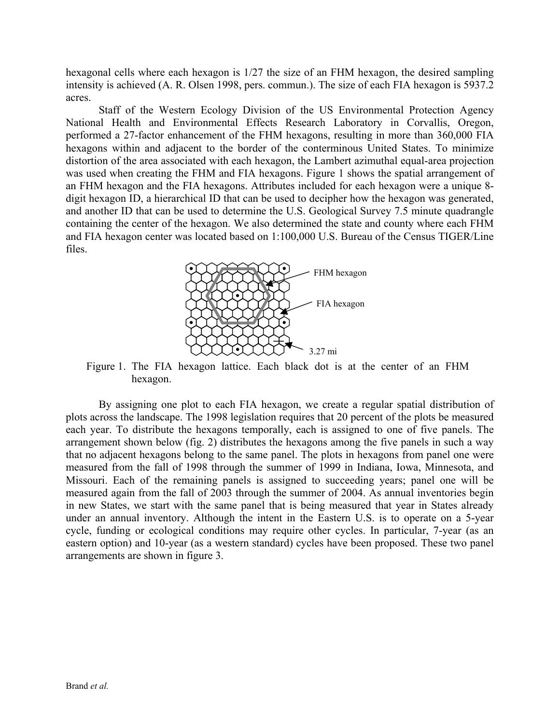hexagonal cells where each hexagon is 1/27 the size of an FHM hexagon, the desired sampling intensity is achieved (A. R. Olsen 1998, pers. commun.). The size of each FIA hexagon is 5937.2 acres.

Staff of the Western Ecology Division of the US Environmental Protection Agency National Health and Environmental Effects Research Laboratory in Corvallis, Oregon, performed a 27-factor enhancement of the FHM hexagons, resulting in more than 360,000 FIA hexagons within and adjacent to the border of the conterminous United States. To minimize distortion of the area associated with each hexagon, the Lambert azimuthal equal-area projection was used when creating the FHM and FIA hexagons. Figure 1 shows the spatial arrangement of an FHM hexagon and the FIA hexagons. Attributes included for each hexagon were a unique 8 digit hexagon ID, a hierarchical ID that can be used to decipher how the hexagon was generated, and another ID that can be used to determine the U.S. Geological Survey 7.5 minute quadrangle containing the center of the hexagon. We also determined the state and county where each FHM and FIA hexagon center was located based on 1:100,000 U.S. Bureau of the Census TIGER/Line files.



Figure 1. The FIA hexagon lattice. Each black dot is at the center of an FHM hexagon.

By assigning one plot to each FIA hexagon, we create a regular spatial distribution of plots across the landscape. The 1998 legislation requires that 20 percent of the plots be measured each year. To distribute the hexagons temporally, each is assigned to one of five panels. The arrangement shown below (fig. 2) distributes the hexagons among the five panels in such a way that no adjacent hexagons belong to the same panel. The plots in hexagons from panel one were measured from the fall of 1998 through the summer of 1999 in Indiana, Iowa, Minnesota, and Missouri. Each of the remaining panels is assigned to succeeding years; panel one will be measured again from the fall of 2003 through the summer of 2004. As annual inventories begin in new States, we start with the same panel that is being measured that year in States already under an annual inventory. Although the intent in the Eastern U.S. is to operate on a 5-year cycle, funding or ecological conditions may require other cycles. In particular, 7-year (as an eastern option) and 10-year (as a western standard) cycles have been proposed. These two panel arrangements are shown in figure 3.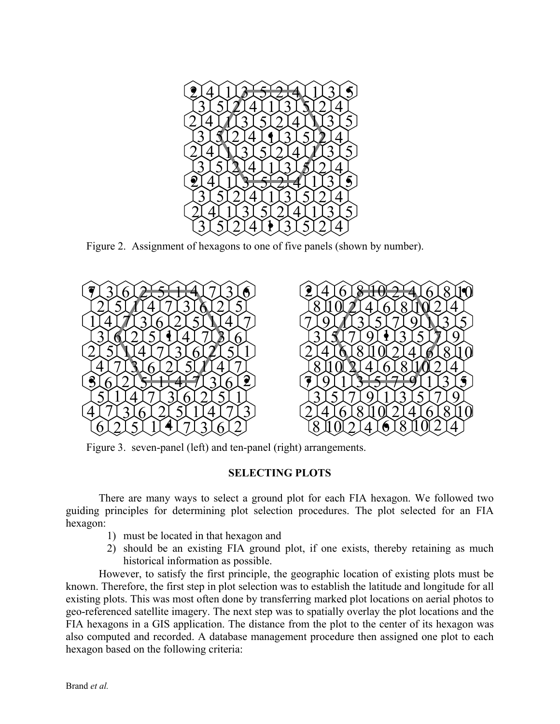

Figure 2. Assignment of hexagons to one of five panels (shown by number).



Figure 3. seven-panel (left) and ten-panel (right) arrangements.

# **SELECTING PLOTS**

There are many ways to select a ground plot for each FIA hexagon. We followed two guiding principles for determining plot selection procedures. The plot selected for an FIA hexagon:

- 1) must be located in that hexagon and
- 2) should be an existing FIA ground plot, if one exists, thereby retaining as much historical information as possible.

However, to satisfy the first principle, the geographic location of existing plots must be known. Therefore, the first step in plot selection was to establish the latitude and longitude for all existing plots. This was most often done by transferring marked plot locations on aerial photos to geo-referenced satellite imagery. The next step was to spatially overlay the plot locations and the FIA hexagons in a GIS application. The distance from the plot to the center of its hexagon was also computed and recorded. A database management procedure then assigned one plot to each hexagon based on the following criteria: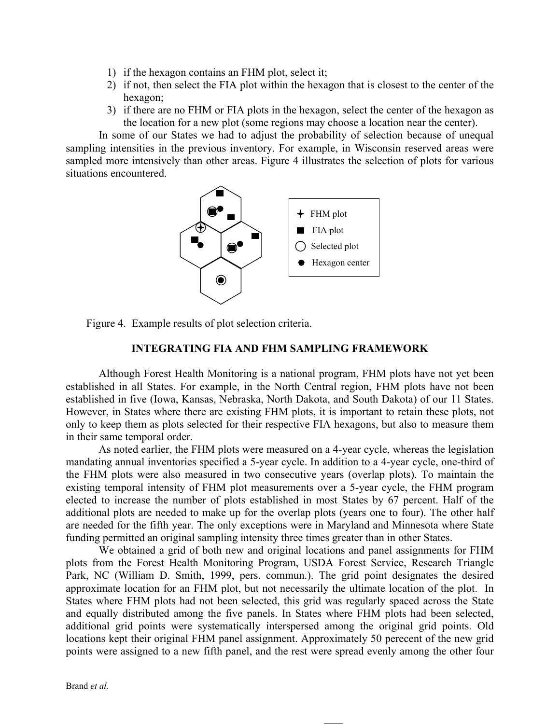- 1) if the hexagon contains an FHM plot, select it;
- 2) if not, then select the FIA plot within the hexagon that is closest to the center of the hexagon;
- 3) if there are no FHM or FIA plots in the hexagon, select the center of the hexagon as the location for a new plot (some regions may choose a location near the center).

In some of our States we had to adjust the probability of selection because of unequal sampling intensities in the previous inventory. For example, in Wisconsin reserved areas were sampled more intensively than other areas. Figure 4 illustrates the selection of plots for various situations encountered.





## **INTEGRATING FIA AND FHM SAMPLING FRAMEWORK**

Although Forest Health Monitoring is a national program, FHM plots have not yet been established in all States. For example, in the North Central region, FHM plots have not been established in five (Iowa, Kansas, Nebraska, North Dakota, and South Dakota) of our 11 States. However, in States where there are existing FHM plots, it is important to retain these plots, not only to keep them as plots selected for their respective FIA hexagons, but also to measure them in their same temporal order.

As noted earlier, the FHM plots were measured on a 4-year cycle, whereas the legislation mandating annual inventories specified a 5-year cycle. In addition to a 4-year cycle, one-third of the FHM plots were also measured in two consecutive years (overlap plots). To maintain the existing temporal intensity of FHM plot measurements over a 5-year cycle, the FHM program elected to increase the number of plots established in most States by 67 percent. Half of the additional plots are needed to make up for the overlap plots (years one to four). The other half are needed for the fifth year. The only exceptions were in Maryland and Minnesota where State funding permitted an original sampling intensity three times greater than in other States.

We obtained a grid of both new and original locations and panel assignments for FHM plots from the Forest Health Monitoring Program, USDA Forest Service, Research Triangle Park, NC (William D. Smith, 1999, pers. commun.). The grid point designates the desired approximate location for an FHM plot, but not necessarily the ultimate location of the plot. In States where FHM plots had not been selected, this grid was regularly spaced across the State and equally distributed among the five panels. In States where FHM plots had been selected, additional grid points were systematically interspersed among the original grid points. Old locations kept their original FHM panel assignment. Approximately 50 perecent of the new grid points were assigned to a new fifth panel, and the rest were spread evenly among the other four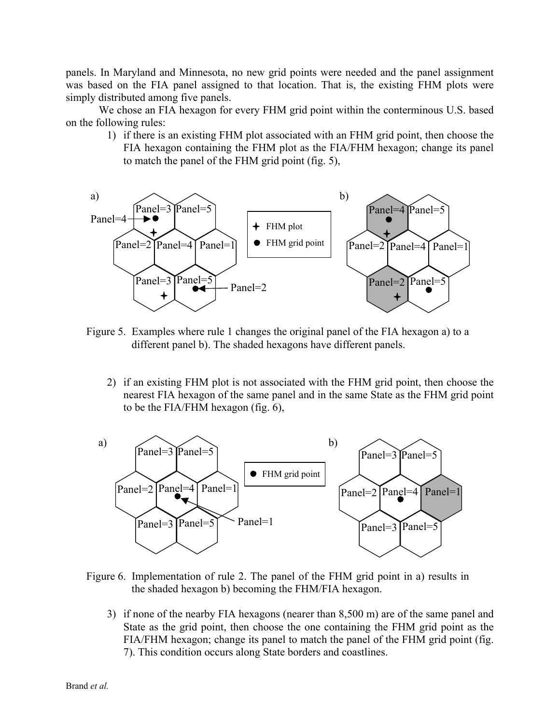panels. In Maryland and Minnesota, no new grid points were needed and the panel assignment was based on the FIA panel assigned to that location. That is, the existing FHM plots were simply distributed among five panels.

We chose an FIA hexagon for every FHM grid point within the conterminous U.S. based on the following rules:

1) if there is an existing FHM plot associated with an FHM grid point, then choose the FIA hexagon containing the FHM plot as the FIA/FHM hexagon; change its panel to match the panel of the FHM grid point (fig. 5),



- Figure 5. Examples where rule 1 changes the original panel of the FIA hexagon a) to a different panel b). The shaded hexagons have different panels.
	- 2) if an existing FHM plot is not associated with the FHM grid point, then choose the nearest FIA hexagon of the same panel and in the same State as the FHM grid point to be the FIA/FHM hexagon (fig. 6),



- Figure 6. Implementation of rule 2. The panel of the FHM grid point in a) results in the shaded hexagon b) becoming the FHM/FIA hexagon.
	- 3) if none of the nearby FIA hexagons (nearer than 8,500 m) are of the same panel and State as the grid point, then choose the one containing the FHM grid point as the FIA/FHM hexagon; change its panel to match the panel of the FHM grid point (fig. 7). This condition occurs along State borders and coastlines.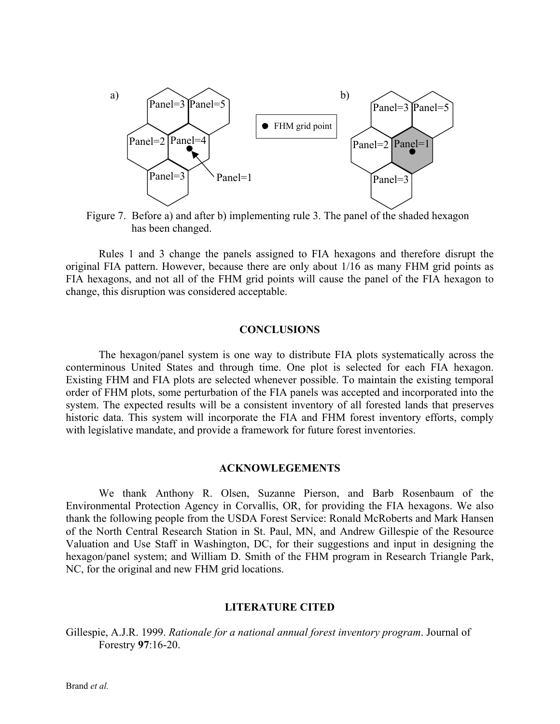

Figure 7. Before a) and after b) implementing rule 3. The panel of the shaded hexagon has been changed.

Rules 1 and 3 change the panels assigned to FIA hexagons and therefore disrupt the original FIA pattern. However, because there are only about 1/16 as many FHM grid points as FIA hexagons, and not all of the FHM grid points will cause the panel of the FIA hexagon to change, this disruption was considered acceptable.

### **CONCLUSIONS**

The hexagon/panel system is one way to distribute FIA plots systematically across the conterminous United States and through time. One plot is selected for each FIA hexagon. Existing FHM and FIA plots are selected whenever possible. To maintain the existing temporal order of FHM plots, some perturbation of the FIA panels was accepted and incorporated into the system. The expected results will be a consistent inventory of all forested lands that preserves historic data. This system will incorporate the FIA and FHM forest inventory efforts, comply with legislative mandate, and provide a framework for future forest inventories.

### **ACKNOWLEGEMENTS**

We thank Anthony R. Olsen, Suzanne Pierson, and Barb Rosenbaum of the Environmental Protection Agency in Corvallis, OR, for providing the FIA hexagons. We also thank the following people from the USDA Forest Service: Ronald McRoberts and Mark Hansen of the North Central Research Station in St. Paul, MN, and Andrew Gillespie of the Resource Valuation and Use Staff in Washington, DC, for their suggestions and input in designing the hexagon/panel system; and William D. Smith of the FHM program in Research Triangle Park, NC, for the original and new FHM grid locations.

#### **LITERATURE CITED**

Gillespie, A.J.R. 1999. *Rationale for a national annual forest inventory program*. Journal of Forestry **97**:16-20.